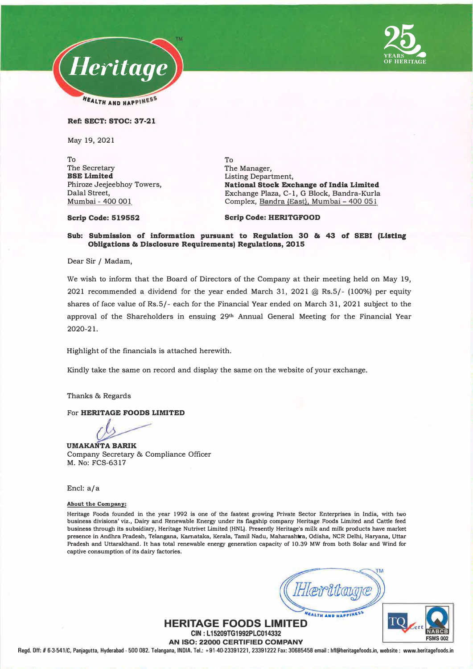



**Ref: SECT: STOC: 37-21** 

May 19, 2021

To The Secretary **BSE Limited**  Phiroze Jeejeebhoy Towers, Dalal Street, Mumbai - 400 001

To The Manager, Listing Department, **National Stock Exchange of India Limited**  Exchange Plaza, C-1, G Block, Bandra-Kurla Complex, Bandra (East), Mumbai - 400 051

**Scrip Code: 519552** 

**Scrip Code: HERITGFOOD** 

## **Sub: Submission of information pursuant to Regulation 30 & 43 or SEBI (Listing Obligations & Disclosure Requirements) Regulations, 2015**

Dear Sir / Madam,

We wish to inform that the Board of Directors of the Company at their meeting held on May 19, 2021 recommended a dividend for the year ended March 31, 2021 @ Rs.5/- (100%) per equity shares of face value of Rs.5/- each for the Financial Year ended on March 31, 2021 subject to the approval of the Shareholders in ensuing 29**th** Annual General Meeting for the Financial Year 2020-21.

Highlight of the financials is attached herewith.

Kindly take the same on record and display the same on the website of your exchange.

Thanks & Regards

For **HERITAGE FOODS LIMITED** 

**UMAKANTA BARIK**  Company Secretary & Compliance Officer M. No: FCS-6317

Encl: a/a

**About the Company:** 

**Heritage Foods founded in the year 1992 is one of the fastest growing Private Sector Enterprises in India, with two business divisions' viz., Dairy and Renewable Energy under its flagship company Heritage Foods Limited and Cattle feed business through its subsidiary, Heritage Nutrivet Limited (HNL). Presently Heritage's milk and milk products have market presence in Andhra Pradesh, Telangana, Karnataka, Kerala, Tamil Nadu, Maharashtra, Odisha, NCR Delhi, Haryana, Uttar Pradesh and Uttarakhand. It has total renewable energy generation capacity of 10.39 MW from both Solar and Wind for captive consumption of its dairy factories.** 



**HERITAGE FOODS LIMITED CIN: L15209TG1992PLC014332** 

**AN ISO: 22000 CERTIFIED COMPANY** 

**Regd. Off:# 6-3-541/C, Panjagutta, Hyderabad - 500 082. Telangana, INOIA. Tel.: +91-40-23391221, 23391222 Fax: 30685458 email: hfl@heritagefoods.in, website: www.heritagefoods.in**